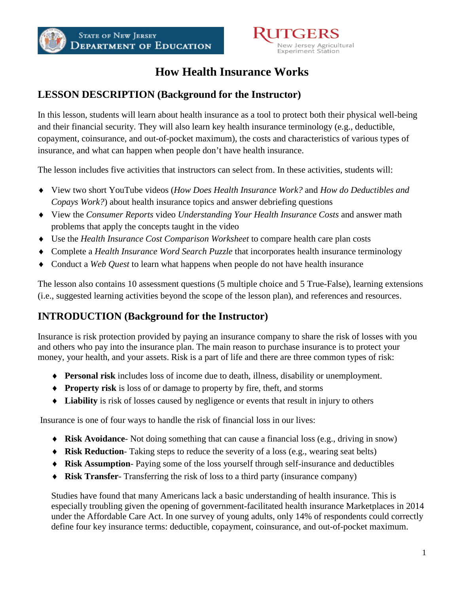

# **How Health Insurance Works**

## **LESSON DESCRIPTION (Background for the Instructor)**

In this lesson, students will learn about health insurance as a tool to protect both their physical well-being and their financial security. They will also learn key health insurance terminology (e.g., deductible, copayment, coinsurance, and out-of-pocket maximum), the costs and characteristics of various types of insurance, and what can happen when people don't have health insurance.

The lesson includes five activities that instructors can select from. In these activities, students will:

- ♦ View two short YouTube videos (*How Does Health Insurance Work?* and *How do Deductibles and Copays Work?*) about health insurance topics and answer debriefing questions
- ♦ View the *Consumer Reports* video *Understanding Your Health Insurance Costs* and answer math problems that apply the concepts taught in the video
- ♦ Use the *Health Insurance Cost Comparison Worksheet* to compare health care plan costs
- ♦ Complete a *Health Insurance Word Search Puzzle* that incorporates health insurance terminology
- ♦ Conduct a *Web Quest* to learn what happens when people do not have health insurance

The lesson also contains 10 assessment questions (5 multiple choice and 5 True-False), learning extensions (i.e., suggested learning activities beyond the scope of the lesson plan), and references and resources.

## **INTRODUCTION (Background for the Instructor)**

Insurance is risk protection provided by paying an insurance company to share the risk of losses with you and others who pay into the insurance plan. The main reason to purchase insurance is to protect your money, your health, and your assets. Risk is a part of life and there are three common types of risk:

- ♦ **Personal risk** includes loss of income due to death, illness, disability or unemployment.
- ♦ **Property risk** is loss of or damage to property by fire, theft, and storms
- ♦ **Liability** is risk of losses caused by negligence or events that result in injury to others

Insurance is one of four ways to handle the risk of financial loss in our lives:

- ♦ **Risk Avoidance** Not doing something that can cause a financial loss (e.g., driving in snow)
- ♦ **Risk Reduction** Taking steps to reduce the severity of a loss (e.g., wearing seat belts)
- ♦ **Risk Assumption** Paying some of the loss yourself through self-insurance and deductibles
- **Risk Transfer-** Transferring the risk of loss to a third party (insurance company)

Studies have found that many Americans lack a basic understanding of health insurance. This is especially troubling given the opening of government-facilitated health insurance Marketplaces in 2014 under the Affordable Care Act. In one survey of young adults, only 14% of respondents could correctly define four key insurance terms: deductible, copayment, coinsurance, and out-of-pocket maximum.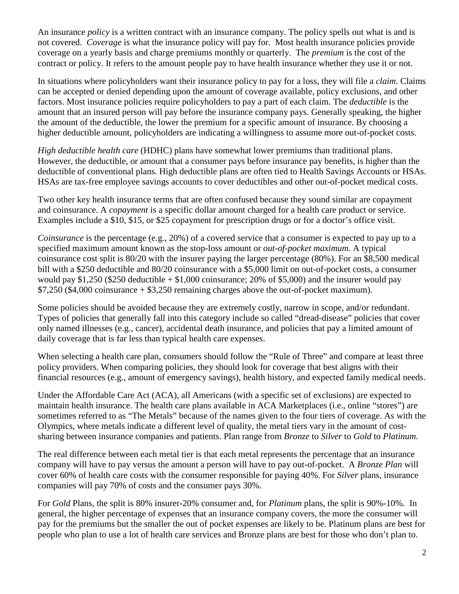An insurance *policy* is a written contract with an insurance company. The policy spells out what is and is not covered. *Coverage* is what the insurance policy will pay for. Most health insurance policies provide coverage on a yearly basis and charge premiums monthly or quarterly. The *premium* is the cost of the contract or policy. It refers to the amount people pay to have health insurance whether they use it or not.

In situations where policyholders want their insurance policy to pay for a loss, they will file a *claim*. Claims can be accepted or denied depending upon the amount of coverage available, policy exclusions, and other factors. Most insurance policies require policyholders to pay a part of each claim. The *deductible* is the amount that an insured person will pay before the insurance company pays. Generally speaking, the higher the amount of the deductible, the lower the premium for a specific amount of insurance. By choosing a higher deductible amount, policyholders are indicating a willingness to assume more out-of-pocket costs.

*High deductible health care* (HDHC) plans have somewhat lower premiums than traditional plans. However, the deductible, or amount that a consumer pays before insurance pay benefits, is higher than the deductible of conventional plans. High deductible plans are often tied to Health Savings Accounts or HSAs. HSAs are tax-free employee savings accounts to cover deductibles and other out-of-pocket medical costs.

Two other key health insurance terms that are often confused because they sound similar are copayment and coinsurance. A *copayment* is a specific dollar amount charged for a health care product or service. Examples include a \$10, \$15, or \$25 copayment for prescription drugs or for a doctor's office visit.

*Coinsurance* is the percentage (e.g., 20%) of a covered service that a consumer is expected to pay up to a specified maximum amount known as the stop-loss amount or *out-of-pocket maximum*. A typical coinsurance cost split is 80/20 with the insurer paying the larger percentage (80%). For an \$8,500 medical bill with a \$250 deductible and 80/20 coinsurance with a \$5,000 limit on out-of-pocket costs, a consumer would pay \$1,250 (\$250 deductible  $+$  \$1,000 coinsurance; 20% of \$5,000) and the insurer would pay  $$7,250$  (\$4,000 coinsurance  $+$  \$3,250 remaining charges above the out-of-pocket maximum).

Some policies should be avoided because they are extremely costly, narrow in scope, and/or redundant. Types of policies that generally fall into this category include so called "dread-disease" policies that cover only named illnesses (e.g., cancer), accidental death insurance, and policies that pay a limited amount of daily coverage that is far less than typical health care expenses.

When selecting a health care plan, consumers should follow the "Rule of Three" and compare at least three policy providers. When comparing policies, they should look for coverage that best aligns with their financial resources (e.g., amount of emergency savings), health history, and expected family medical needs.

Under the Affordable Care Act (ACA), all Americans (with a specific set of exclusions) are expected to maintain health insurance. The health care plans available in ACA Marketplaces (i.e., online "stores") are sometimes referred to as "The Metals" because of the names given to the four tiers of coverage. As with the Olympics, where metals indicate a different level of quality, the metal tiers vary in the amount of costsharing between insurance companies and patients. Plan range from *Bronze* to *Silver* to *Gold* to *Platinum*.

The real difference between each metal tier is that each metal represents the percentage that an insurance company will have to pay versus the amount a person will have to pay out-of-pocket. A *Bronze Plan* will cover 60% of health care costs with the consumer responsible for paying 40%. For *Silver* plans, insurance companies will pay 70% of costs and the consumer pays 30%.

For *Gold* Plans, the split is 80% insurer-20% consumer and, for *Platinum* plans, the split is 90%-10%. In general, the higher percentage of expenses that an insurance company covers, the more the consumer will pay for the premiums but the smaller the out of pocket expenses are likely to be. Platinum plans are best for people who plan to use a lot of health care services and Bronze plans are best for those who don't plan to.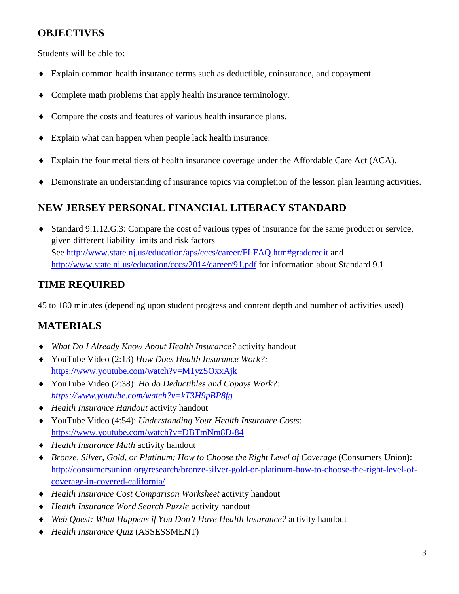## **OBJECTIVES**

Students will be able to:

- ♦ Explain common health insurance terms such as deductible, coinsurance, and copayment.
- ♦ Complete math problems that apply health insurance terminology.
- Compare the costs and features of various health insurance plans.
- ♦ Explain what can happen when people lack health insurance.
- ♦ Explain the four metal tiers of health insurance coverage under the Affordable Care Act (ACA).
- ♦ Demonstrate an understanding of insurance topics via completion of the lesson plan learning activities.

# **NEW JERSEY PERSONAL FINANCIAL LITERACY STANDARD**

♦ Standard 9.1.12.G.3: Compare the cost of various types of insurance for the same product or service, given different liability limits and risk factors See<http://www.state.nj.us/education/aps/cccs/career/FLFAQ.htm#gradcredit> and <http://www.state.nj.us/education/cccs/2014/career/91.pdf> for information about Standard 9.1

## **TIME REQUIRED**

45 to 180 minutes (depending upon student progress and content depth and number of activities used)

## **MATERIALS**

- ♦ *What Do I Already Know About Health Insurance?* activity handout
- ♦ YouTube Video (2:13) *How Does Health Insurance Work?:* <https://www.youtube.com/watch?v=M1yzSOxxAjk>
- ♦ YouTube Video (2:38): *Ho do Deductibles and Copays Work?: <https://www.youtube.com/watch?v=kT3H9pBP8fg>*
- ♦ *Health Insurance Handout* activity handout
- ♦ YouTube Video (4:54): *Understanding Your Health Insurance Costs*: <https://www.youtube.com/watch?v=DBTmNm8D-84>
- ♦ *Health Insurance Math* activity handout
- ♦ *Bronze, Silver, Gold, or Platinum: How to Choose the Right Level of Coverage* (Consumers Union): [http://consumersunion.org/research/bronze-silver-gold-or-platinum-how-to-choose-the-right-level-of](http://consumersunion.org/research/bronze-silver-gold-or-platinum-how-to-choose-the-right-level-of-coverage-in-covered-california/)[coverage-in-covered-california/](http://consumersunion.org/research/bronze-silver-gold-or-platinum-how-to-choose-the-right-level-of-coverage-in-covered-california/)
- ♦ *Health Insurance Cost Comparison Worksheet* activity handout
- ♦ *Health Insurance Word Search Puzzle a*ctivity handout
- ♦ *Web Quest: What Happens if You Don't Have Health Insurance?* activity handout
- ♦ *Health Insurance Quiz* (ASSESSMENT)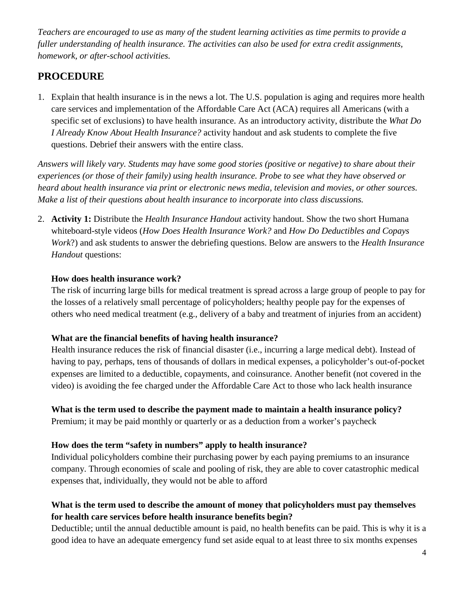*Teachers are encouraged to use as many of the student learning activities as time permits to provide a fuller understanding of health insurance. The activities can also be used for extra credit assignments, homework, or after-school activities.*

### **PROCEDURE**

1. Explain that health insurance is in the news a lot. The U.S. population is aging and requires more health care services and implementation of the Affordable Care Act (ACA) requires all Americans (with a specific set of exclusions) to have health insurance. As an introductory activity, distribute the *What Do I Already Know About Health Insurance?* activity handout and ask students to complete the five questions. Debrief their answers with the entire class.

*Answers will likely vary. Students may have some good stories (positive or negative) to share about their experiences (or those of their family) using health insurance. Probe to see what they have observed or heard about health insurance via print or electronic news media, television and movies, or other sources. Make a list of their questions about health insurance to incorporate into class discussions.*

2. **Activity 1:** Distribute the *Health Insurance Handout* activity handout. Show the two short Humana whiteboard-style videos (*How Does Health Insurance Work?* and *How Do Deductibles and Copays Work*?) and ask students to answer the debriefing questions. Below are answers to the *Health Insurance Handout* questions:

#### **How does health insurance work?**

The risk of incurring large bills for medical treatment is spread across a large group of people to pay for the losses of a relatively small percentage of policyholders; healthy people pay for the expenses of others who need medical treatment (e.g., delivery of a baby and treatment of injuries from an accident)

#### **What are the financial benefits of having health insurance?**

Health insurance reduces the risk of financial disaster (i.e., incurring a large medical debt). Instead of having to pay, perhaps, tens of thousands of dollars in medical expenses, a policyholder's out-of-pocket expenses are limited to a deductible, copayments, and coinsurance. Another benefit (not covered in the video) is avoiding the fee charged under the Affordable Care Act to those who lack health insurance

#### **What is the term used to describe the payment made to maintain a health insurance policy?**

Premium; it may be paid monthly or quarterly or as a deduction from a worker's paycheck

#### **How does the term "safety in numbers" apply to health insurance?**

Individual policyholders combine their purchasing power by each paying premiums to an insurance company. Through economies of scale and pooling of risk, they are able to cover catastrophic medical expenses that, individually, they would not be able to afford

#### **What is the term used to describe the amount of money that policyholders must pay themselves for health care services before health insurance benefits begin?**

Deductible; until the annual deductible amount is paid, no health benefits can be paid. This is why it is a good idea to have an adequate emergency fund set aside equal to at least three to six months expenses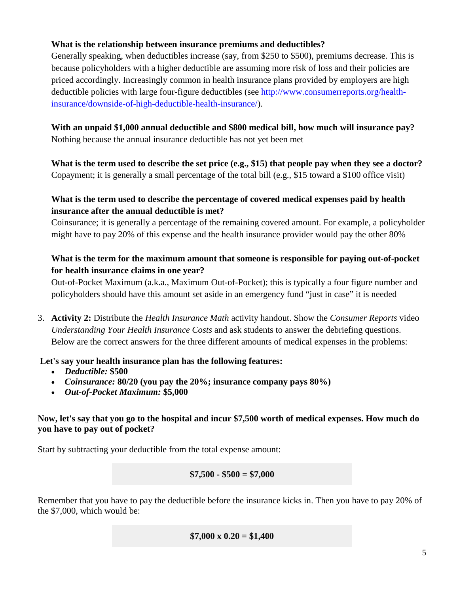#### **What is the relationship between insurance premiums and deductibles?**

Generally speaking, when deductibles increase (say, from \$250 to \$500), premiums decrease. This is because policyholders with a higher deductible are assuming more risk of loss and their policies are priced accordingly. Increasingly common in health insurance plans provided by employers are high deductible policies with large four-figure deductibles (see [http://www.consumerreports.org/health](http://www.consumerreports.org/health-insurance/downside-of-high-deductible-health-insurance/)[insurance/downside-of-high-deductible-health-insurance/\)](http://www.consumerreports.org/health-insurance/downside-of-high-deductible-health-insurance/).

#### **With an unpaid \$1,000 annual deductible and \$800 medical bill, how much will insurance pay?** Nothing because the annual insurance deductible has not yet been met

**What is the term used to describe the set price (e.g., \$15) that people pay when they see a doctor?**  Copayment; it is generally a small percentage of the total bill (e.g., \$15 toward a \$100 office visit)

#### **What is the term used to describe the percentage of covered medical expenses paid by health insurance after the annual deductible is met?**

Coinsurance; it is generally a percentage of the remaining covered amount. For example, a policyholder might have to pay 20% of this expense and the health insurance provider would pay the other 80%

#### **What is the term for the maximum amount that someone is responsible for paying out-of-pocket for health insurance claims in one year?**

Out-of-Pocket Maximum (a.k.a., Maximum Out-of-Pocket); this is typically a four figure number and policyholders should have this amount set aside in an emergency fund "just in case" it is needed

3. **Activity 2:** Distribute the *Health Insurance Math* activity handout. Show the *Consumer Reports* video *Understanding Your Health Insurance Costs* and ask students to answer the debriefing questions. Below are the correct answers for the three different amounts of medical expenses in the problems:

#### **Let's say your health insurance plan has the following features:**

- *Deductible:* **\$500**
- *Coinsurance:* **80/20 (you pay the 20%; insurance company pays 80%)**
- *Out-of-Pocket Maximum:* **\$5,000**

#### **Now, let's say that you go to the hospital and incur \$7,500 worth of medical expenses. How much do you have to pay out of pocket?**

Start by subtracting your deductible from the total expense amount:

#### **\$7,500 - \$500 = \$7,000**

Remember that you have to pay the deductible before the insurance kicks in. Then you have to pay 20% of the \$7,000, which would be:

\$7,000 x 
$$
0.20 = $1,400
$$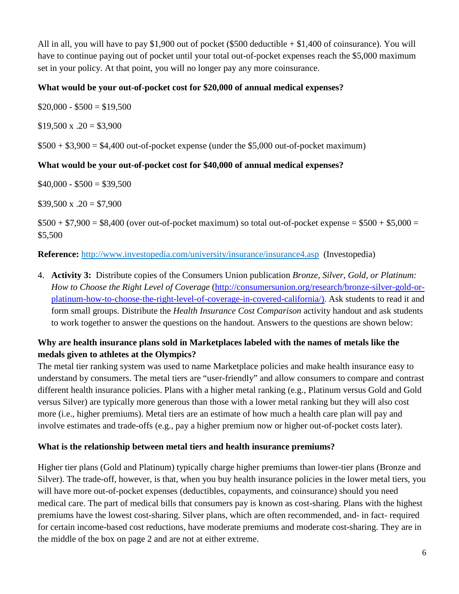All in all, you will have to pay \$1,900 out of pocket (\$500 deductible + \$1,400 of coinsurance). You will have to continue paying out of pocket until your total out-of-pocket expenses reach the \$5,000 maximum set in your policy. At that point, you will no longer pay any more coinsurance.

#### **What would be your out-of-pocket cost for \$20,000 of annual medical expenses?**

 $$20,000 - $500 = $19,500$ 

 $$19,500 \text{ x} \ .20 = $3,900$ 

 $$500 + $3,900 = $4,400$  out-of-pocket expense (under the \$5,000 out-of-pocket maximum)

#### **What would be your out-of-pocket cost for \$40,000 of annual medical expenses?**

 $$40,000 - $500 = $39,500$ 

 $$39,500 \text{ x } .20 = $7,900$ 

 $$500 + $7,900 = $8,400$  (over out-of-pocket maximum) so total out-of-pocket expense = \$500 + \$5,000 = \$5,500

**Reference:** <http://www.investopedia.com/university/insurance/insurance4.asp>(Investopedia)

4. **Activity 3:** Distribute copies of the Consumers Union publication *Bronze, Silver, Gold, or Platinum: How to Choose the Right Level of Coverage* [\(http://consumersunion.org/research/bronze-silver-gold-or](http://consumersunion.org/research/bronze-silver-gold-or-platinum-how-to-choose-the-right-level-of-coverage-in-covered-california/)[platinum-how-to-choose-the-right-level-of-coverage-in-covered-california/\)](http://consumersunion.org/research/bronze-silver-gold-or-platinum-how-to-choose-the-right-level-of-coverage-in-covered-california/). Ask students to read it and form small groups. Distribute the *Health Insurance Cost Comparison* activity handout and ask students to work together to answer the questions on the handout. Answers to the questions are shown below:

#### **Why are health insurance plans sold in Marketplaces labeled with the names of metals like the medals given to athletes at the Olympics?**

The metal tier ranking system was used to name Marketplace policies and make health insurance easy to understand by consumers. The metal tiers are "user-friendly" and allow consumers to compare and contrast different health insurance policies. Plans with a higher metal ranking (e.g., Platinum versus Gold and Gold versus Silver) are typically more generous than those with a lower metal ranking but they will also cost more (i.e., higher premiums). Metal tiers are an estimate of how much a health care plan will pay and involve estimates and trade-offs (e.g., pay a higher premium now or higher out-of-pocket costs later).

#### **What is the relationship between metal tiers and health insurance premiums?**

Higher tier plans (Gold and Platinum) typically charge higher premiums than lower-tier plans (Bronze and Silver). The trade-off, however, is that, when you buy health insurance policies in the lower metal tiers, you will have more out-of-pocket expenses (deductibles, copayments, and coinsurance) should you need medical care. The part of medical bills that consumers pay is known as cost-sharing. Plans with the highest premiums have the lowest cost-sharing. Silver plans, which are often recommended, and- in fact- required for certain income-based cost reductions, have moderate premiums and moderate cost-sharing. They are in the middle of the box on page 2 and are not at either extreme.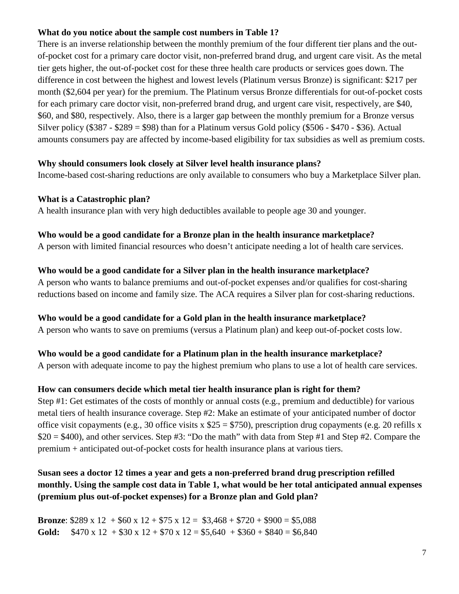#### **What do you notice about the sample cost numbers in Table 1?**

There is an inverse relationship between the monthly premium of the four different tier plans and the outof-pocket cost for a primary care doctor visit, non-preferred brand drug, and urgent care visit. As the metal tier gets higher, the out-of-pocket cost for these three health care products or services goes down. The difference in cost between the highest and lowest levels (Platinum versus Bronze) is significant: \$217 per month (\$2,604 per year) for the premium. The Platinum versus Bronze differentials for out-of-pocket costs for each primary care doctor visit, non-preferred brand drug, and urgent care visit, respectively, are \$40, \$60, and \$80, respectively. Also, there is a larger gap between the monthly premium for a Bronze versus Silver policy (\$387 - \$289 = \$98) than for a Platinum versus Gold policy (\$506 - \$470 - \$36). Actual amounts consumers pay are affected by income-based eligibility for tax subsidies as well as premium costs.

#### **Why should consumers look closely at Silver level health insurance plans?**

Income-based cost-sharing reductions are only available to consumers who buy a Marketplace Silver plan.

#### **What is a Catastrophic plan?**

A health insurance plan with very high deductibles available to people age 30 and younger.

### **Who would be a good candidate for a Bronze plan in the health insurance marketplace?**

A person with limited financial resources who doesn't anticipate needing a lot of health care services.

#### **Who would be a good candidate for a Silver plan in the health insurance marketplace?**

A person who wants to balance premiums and out-of-pocket expenses and/or qualifies for cost-sharing reductions based on income and family size. The ACA requires a Silver plan for cost-sharing reductions.

#### **Who would be a good candidate for a Gold plan in the health insurance marketplace?**

A person who wants to save on premiums (versus a Platinum plan) and keep out-of-pocket costs low.

#### **Who would be a good candidate for a Platinum plan in the health insurance marketplace?**

A person with adequate income to pay the highest premium who plans to use a lot of health care services.

### **How can consumers decide which metal tier health insurance plan is right for them?**

Step #1: Get estimates of the costs of monthly or annual costs (e.g., premium and deductible) for various metal tiers of health insurance coverage. Step #2: Make an estimate of your anticipated number of doctor office visit copayments (e.g., 30 office visits x  $$25 = $750$ ), prescription drug copayments (e.g. 20 refills x  $$20 = $400$ , and other services. Step #3: "Do the math" with data from Step #1 and Step #2. Compare the premium + anticipated out-of-pocket costs for health insurance plans at various tiers.

#### **Susan sees a doctor 12 times a year and gets a non-preferred brand drug prescription refilled monthly. Using the sample cost data in Table 1, what would be her total anticipated annual expenses (premium plus out-of-pocket expenses) for a Bronze plan and Gold plan?**

**Bronze**:  $$289 \times 12 + $60 \times 12 + $75 \times 12 = $3,468 + $720 + $900 = $5,088$ **Gold:**  $$470 \times 12 + $30 \times 12 + $70 \times 12 = $5,640 + $360 + $840 = $6,840$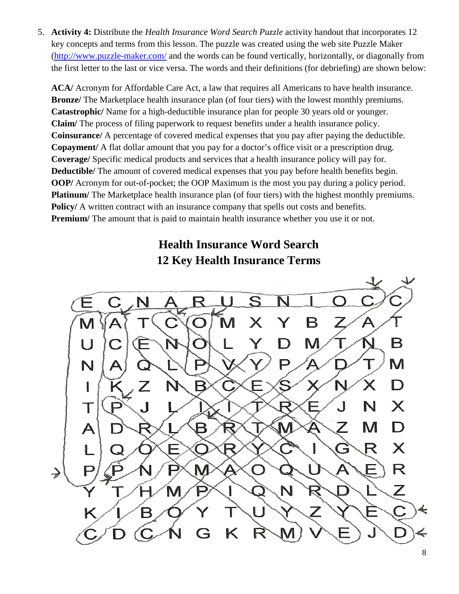5. **Activity 4:** Distribute the *Health Insurance Word Search Puzzle* activity handout that incorporates 12 key concepts and terms from this lesson. The puzzle was created using the web site Puzzle Maker [\(http://www.puzzle-maker.com/](http://www.puzzle-maker.com/) and the words can be found vertically, horizontally, or diagonally from the first letter to the last or vice versa. The words and their definitions (for debriefing) are shown below:

**ACA/** Acronym for Affordable Care Act, a law that requires all Americans to have health insurance. **Bronze** / The Marketplace health insurance plan (of four tiers) with the lowest monthly premiums. **Catastrophic/** Name for a high-deductible insurance plan for people 30 years old or younger. **Claim/** The process of filing paperwork to request benefits under a health insurance policy. **Coinsurance/** A percentage of covered medical expenses that you pay after paying the deductible. **Copayment/** A flat dollar amount that you pay for a doctor's office visit or a prescription drug. **Coverage/** Specific medical products and services that a health insurance policy will pay for. **Deductible/** The amount of covered medical expenses that you pay before health benefits begin. **OOP/** Acronym for out-of-pocket; the OOP Maximum is the most you pay during a policy period. **Platinum/** The Marketplace health insurance plan (of four tiers) with the highest monthly premiums. **Policy/** A written contract with an insurance company that spells out costs and benefits. **Premium/** The amount that is paid to maintain health insurance whether you use it or not.

# **Health Insurance Word Search 12 Key Health Insurance Terms**

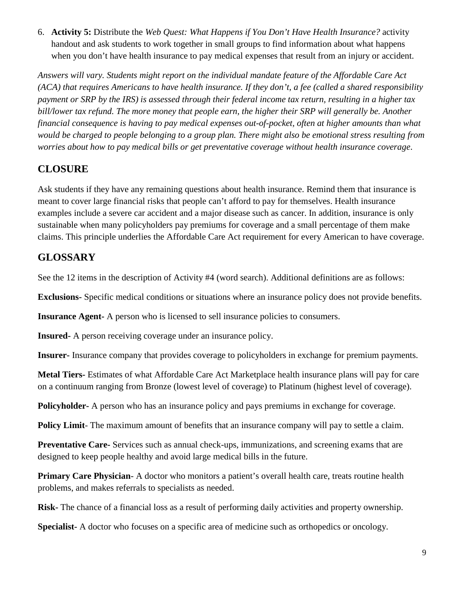6. **Activity 5:** Distribute the *Web Quest: What Happens if You Don't Have Health Insurance?* activity handout and ask students to work together in small groups to find information about what happens when you don't have health insurance to pay medical expenses that result from an injury or accident.

*Answers will vary. Students might report on the individual mandate feature of the Affordable Care Act (ACA) that requires Americans to have health insurance. If they don't, a fee (called a shared responsibility payment or SRP by the IRS) is assessed through their federal income tax return, resulting in a higher tax bill/lower tax refund. The more money that people earn, the higher their SRP will generally be. Another financial consequence is having to pay medical expenses out-of-pocket, often at higher amounts than what would be charged to people belonging to a group plan. There might also be emotional stress resulting from worries about how to pay medical bills or get preventative coverage without health insurance coverage*.

# **CLOSURE**

Ask students if they have any remaining questions about health insurance. Remind them that insurance is meant to cover large financial risks that people can't afford to pay for themselves. Health insurance examples include a severe car accident and a major disease such as cancer. In addition, insurance is only sustainable when many policyholders pay premiums for coverage and a small percentage of them make claims. This principle underlies the Affordable Care Act requirement for every American to have coverage.

# **GLOSSARY**

See the 12 items in the description of Activity #4 (word search). Additional definitions are as follows:

**Exclusions-** Specific medical conditions or situations where an insurance policy does not provide benefits.

**Insurance Agent-** A person who is licensed to sell insurance policies to consumers.

**Insured-** A person receiving coverage under an insurance policy.

**Insurer-** Insurance company that provides coverage to policyholders in exchange for premium payments.

**Metal Tiers-** Estimates of what Affordable Care Act Marketplace health insurance plans will pay for care on a continuum ranging from Bronze (lowest level of coverage) to Platinum (highest level of coverage).

**Policyholder-** A person who has an insurance policy and pays premiums in exchange for coverage.

**Policy Limit**- The maximum amount of benefits that an insurance company will pay to settle a claim.

**Preventative Care-** Services such as annual check-ups, immunizations, and screening exams that are designed to keep people healthy and avoid large medical bills in the future.

**Primary Care Physician-** A doctor who monitors a patient's overall health care, treats routine health problems, and makes referrals to specialists as needed.

**Risk-** The chance of a financial loss as a result of performing daily activities and property ownership.

**Specialist-** A doctor who focuses on a specific area of medicine such as orthopedics or oncology.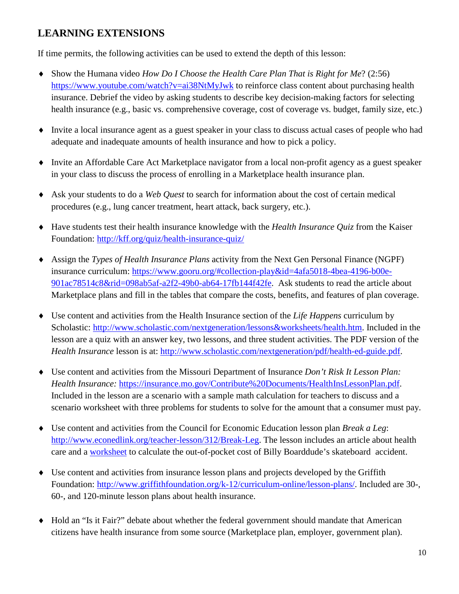## **LEARNING EXTENSIONS**

If time permits, the following activities can be used to extend the depth of this lesson:

- ♦ Show the Humana video *How Do I Choose the Health Care Plan That is Right for Me*? (2:56) <https://www.youtube.com/watch?v=ai38NtMyJwk> to reinforce class content about purchasing health insurance. Debrief the video by asking students to describe key decision-making factors for selecting health insurance (e.g., basic vs. comprehensive coverage, cost of coverage vs. budget, family size, etc.)
- ♦ Invite a local insurance agent as a guest speaker in your class to discuss actual cases of people who had adequate and inadequate amounts of health insurance and how to pick a policy.
- ♦ Invite an Affordable Care Act Marketplace navigator from a local non-profit agency as a guest speaker in your class to discuss the process of enrolling in a Marketplace health insurance plan.
- ♦ Ask your students to do a *Web Quest* to search for information about the cost of certain medical procedures (e.g., lung cancer treatment, heart attack, back surgery, etc.).
- ♦ Have students test their health insurance knowledge with the *Health Insurance Quiz* from the Kaiser Foundation:<http://kff.org/quiz/health-insurance-quiz/>
- ♦ Assign the *Types of Health Insurance Plans* activity from the Next Gen Personal Finance (NGPF) insurance curriculum: [https://www.gooru.org/#collection-play&id=4afa5018-4bea-4196-b00e-](https://www.gooru.org/#collection-play&id=4afa5018-4bea-4196-b00e-901ac78514c8&rid=098ab5af-a2f2-49b0-ab64-17fb144f42fe)[901ac78514c8&rid=098ab5af-a2f2-49b0-ab64-17fb144f42fe.](https://www.gooru.org/#collection-play&id=4afa5018-4bea-4196-b00e-901ac78514c8&rid=098ab5af-a2f2-49b0-ab64-17fb144f42fe) Ask students to read the article about Marketplace plans and fill in the tables that compare the costs, benefits, and features of plan coverage.
- ♦ Use content and activities from the Health Insurance section of the *Life Happens* curriculum by Scholastic: [http://www.scholastic.com/nextgeneration/lessons&worksheets/health.htm.](http://www.scholastic.com/nextgeneration/lessons&worksheets/health.htm) Included in the lesson are a quiz with an answer key, two lessons, and three student activities. The PDF version of the *Health Insurance* lesson is at: [http://www.scholastic.com/nextgeneration/pdf/health-ed-guide.pdf.](http://www.scholastic.com/nextgeneration/pdf/health-ed-guide.pdf)
- ♦ Use content and activities from the Missouri Department of Insurance *Don't Risk It Lesson Plan: Health Insurance:* [https://insurance.mo.gov/Contribute%20Documents/HealthInsLessonPlan.pdf.](https://insurance.mo.gov/Contribute%20Documents/HealthInsLessonPlan.pdf) Included in the lesson are a scenario with a sample math calculation for teachers to discuss and a scenario worksheet with three problems for students to solve for the amount that a consumer must pay.
- ♦ Use content and activities from the Council for Economic Education lesson plan *Break a Leg*: [http://www.econedlink.org/teacher-lesson/312/Break-Leg.](http://www.econedlink.org/teacher-lesson/312/Break-Leg) The lesson includes an article about health care and a [worksheet](http://www.econedlink.org/lessons/docs_lessons/312_worksheet1.pdf) to calculate the out-of-pocket cost of Billy Boarddude's skateboard accident.
- ♦ Use content and activities from insurance lesson plans and projects developed by the Griffith Foundation: [http://www.griffithfoundation.org/k-12/curriculum-online/lesson-plans/.](http://www.griffithfoundation.org/k-12/curriculum-online/lesson-plans/) Included are 30-, 60-, and 120-minute lesson plans about health insurance.
- ♦ Hold an "Is it Fair?" debate about whether the federal government should mandate that American citizens have health insurance from some source (Marketplace plan, employer, government plan).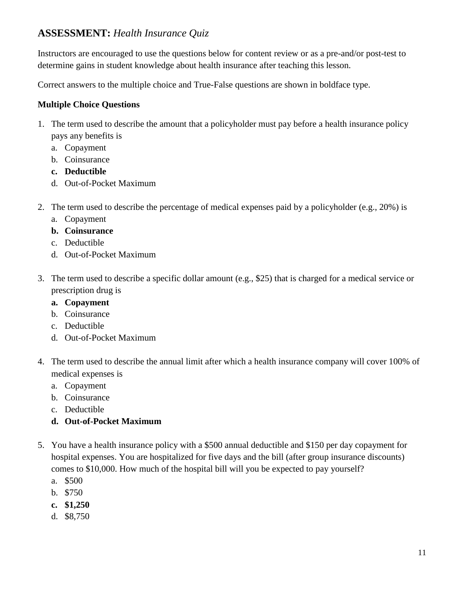## **ASSESSMENT:** *Health Insurance Quiz*

Instructors are encouraged to use the questions below for content review or as a pre-and/or post-test to determine gains in student knowledge about health insurance after teaching this lesson.

Correct answers to the multiple choice and True-False questions are shown in boldface type.

#### **Multiple Choice Questions**

- 1. The term used to describe the amount that a policyholder must pay before a health insurance policy pays any benefits is
	- a. Copayment
	- b. Coinsurance
	- **c. Deductible**
	- d. Out-of-Pocket Maximum
- 2. The term used to describe the percentage of medical expenses paid by a policyholder (e.g., 20%) is
	- a. Copayment
	- **b. Coinsurance**
	- c. Deductible
	- d. Out-of-Pocket Maximum
- 3. The term used to describe a specific dollar amount (e.g., \$25) that is charged for a medical service or prescription drug is
	- **a. Copayment**
	- b. Coinsurance
	- c. Deductible
	- d. Out-of-Pocket Maximum
- 4. The term used to describe the annual limit after which a health insurance company will cover 100% of medical expenses is
	- a. Copayment
	- b. Coinsurance
	- c. Deductible

### **d. Out-of-Pocket Maximum**

- 5. You have a health insurance policy with a \$500 annual deductible and \$150 per day copayment for hospital expenses. You are hospitalized for five days and the bill (after group insurance discounts) comes to \$10,000. How much of the hospital bill will you be expected to pay yourself?
	- a. \$500
	- b. \$750
	- **c. \$1,250**
	- d. \$8,750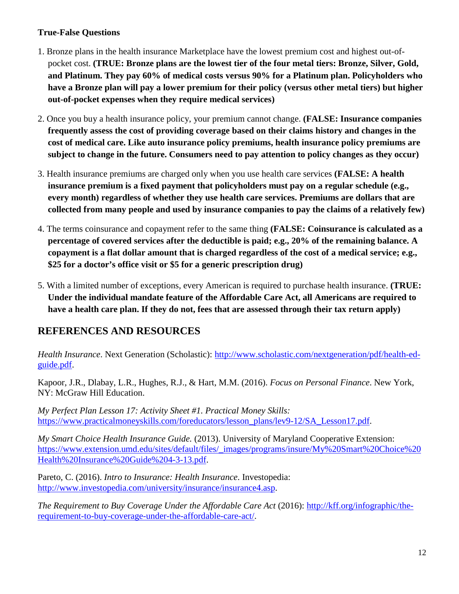#### **True-False Questions**

- 1. Bronze plans in the health insurance Marketplace have the lowest premium cost and highest out-ofpocket cost. **(TRUE: Bronze plans are the lowest tier of the four metal tiers: Bronze, Silver, Gold, and Platinum. They pay 60% of medical costs versus 90% for a Platinum plan. Policyholders who have a Bronze plan will pay a lower premium for their policy (versus other metal tiers) but higher out-of-pocket expenses when they require medical services)**
- 2. Once you buy a health insurance policy, your premium cannot change. **(FALSE: Insurance companies frequently assess the cost of providing coverage based on their claims history and changes in the cost of medical care. Like auto insurance policy premiums, health insurance policy premiums are subject to change in the future. Consumers need to pay attention to policy changes as they occur)**
- 3. Health insurance premiums are charged only when you use health care services **(FALSE: A health insurance premium is a fixed payment that policyholders must pay on a regular schedule (e.g., every month) regardless of whether they use health care services. Premiums are dollars that are collected from many people and used by insurance companies to pay the claims of a relatively few)**
- 4. The terms coinsurance and copayment refer to the same thing **(FALSE: Coinsurance is calculated as a percentage of covered services after the deductible is paid; e.g., 20% of the remaining balance. A copayment is a flat dollar amount that is charged regardless of the cost of a medical service; e.g., \$25 for a doctor's office visit or \$5 for a generic prescription drug)**
- 5. With a limited number of exceptions, every American is required to purchase health insurance. **(TRUE: Under the individual mandate feature of the Affordable Care Act, all Americans are required to have a health care plan. If they do not, fees that are assessed through their tax return apply)**

## **REFERENCES AND RESOURCES**

*Health Insurance*. Next Generation (Scholastic): [http://www.scholastic.com/nextgeneration/pdf/health-ed](http://www.scholastic.com/nextgeneration/pdf/health-ed-guide.pdf)[guide.pdf.](http://www.scholastic.com/nextgeneration/pdf/health-ed-guide.pdf)

Kapoor, J.R., Dlabay, L.R., Hughes, R.J., & Hart, M.M. (2016). *Focus on Personal Finance*. New York, NY: McGraw Hill Education.

*My Perfect Plan Lesson 17: Activity Sheet #1. Practical Money Skills:* [https://www.practicalmoneyskills.com/foreducators/lesson\\_plans/lev9-12/SA\\_Lesson17.pdf.](https://www.practicalmoneyskills.com/foreducators/lesson_plans/lev9-12/SA_Lesson17.pdf)

*My Smart Choice Health Insurance Guide.* (2013). University of Maryland Cooperative Extension: [https://www.extension.umd.edu/sites/default/files/\\_images/programs/insure/My%20Smart%20Choice%20](https://www.extension.umd.edu/sites/default/files/_images/programs/insure/My%20Smart%20Choice%20Health%20Insurance%20Guide%204-3-13.pdf) [Health%20Insurance%20Guide%204-3-13.pdf.](https://www.extension.umd.edu/sites/default/files/_images/programs/insure/My%20Smart%20Choice%20Health%20Insurance%20Guide%204-3-13.pdf)

Pareto, C. (2016). *Intro to Insurance: Health Insurance*. Investopedia: [http://www.investopedia.com/university/insurance/insurance4.asp.](http://www.investopedia.com/university/insurance/insurance4.asp)

*The Requirement to Buy Coverage Under the Affordable Care Act* (2016): [http://kff.org/infographic/the](http://kff.org/infographic/the-requirement-to-buy-coverage-under-the-affordable-care-act/)[requirement-to-buy-coverage-under-the-affordable-care-act/.](http://kff.org/infographic/the-requirement-to-buy-coverage-under-the-affordable-care-act/)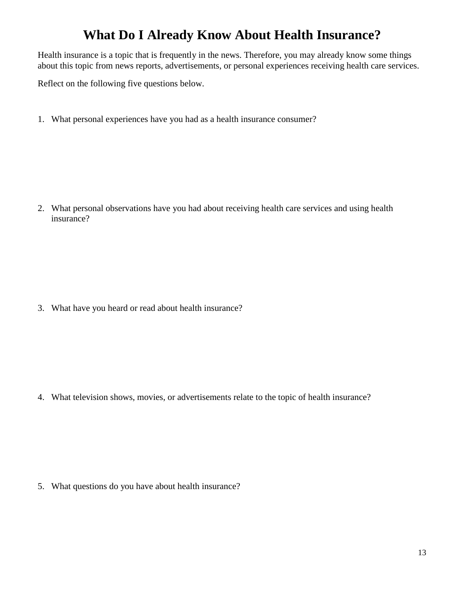# **What Do I Already Know About Health Insurance?**

Health insurance is a topic that is frequently in the news. Therefore, you may already know some things about this topic from news reports, advertisements, or personal experiences receiving health care services.

Reflect on the following five questions below.

1. What personal experiences have you had as a health insurance consumer?

2. What personal observations have you had about receiving health care services and using health insurance?

3. What have you heard or read about health insurance?

4. What television shows, movies, or advertisements relate to the topic of health insurance?

5. What questions do you have about health insurance?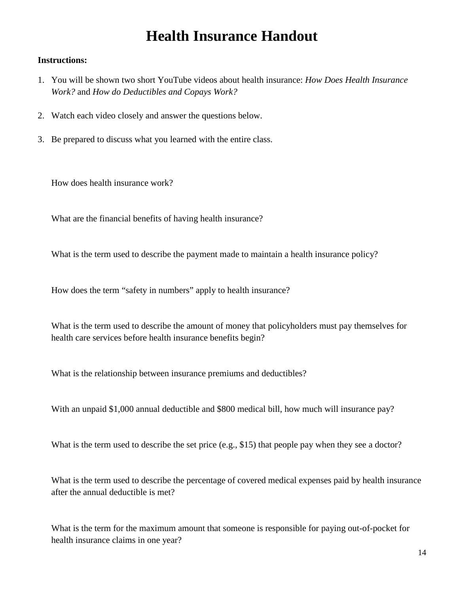# **Health Insurance Handout**

#### **Instructions:**

- 1. You will be shown two short YouTube videos about health insurance: *How Does Health Insurance Work?* and *How do Deductibles and Copays Work?*
- 2. Watch each video closely and answer the questions below.
- 3. Be prepared to discuss what you learned with the entire class.

How does health insurance work?

What are the financial benefits of having health insurance?

What is the term used to describe the payment made to maintain a health insurance policy?

How does the term "safety in numbers" apply to health insurance?

What is the term used to describe the amount of money that policyholders must pay themselves for health care services before health insurance benefits begin?

What is the relationship between insurance premiums and deductibles?

With an unpaid \$1,000 annual deductible and \$800 medical bill, how much will insurance pay?

What is the term used to describe the set price (e.g., \$15) that people pay when they see a doctor?

What is the term used to describe the percentage of covered medical expenses paid by health insurance after the annual deductible is met?

What is the term for the maximum amount that someone is responsible for paying out-of-pocket for health insurance claims in one year?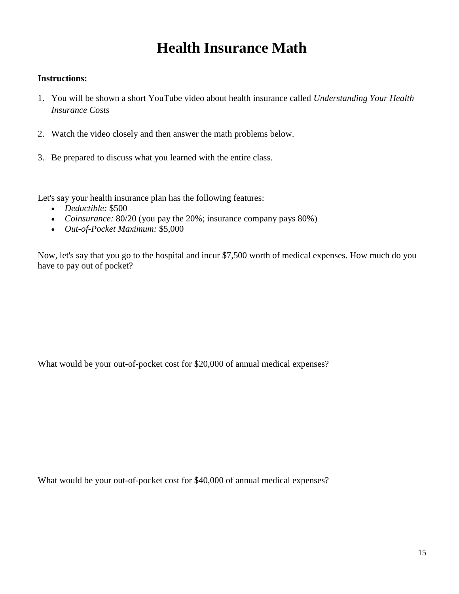# **Health Insurance Math**

#### **Instructions:**

- 1. You will be shown a short YouTube video about health insurance called *Understanding Your Health Insurance Costs*
- 2. Watch the video closely and then answer the math problems below.
- 3. Be prepared to discuss what you learned with the entire class.

Let's say your health insurance plan has the following features:

- *Deductible:* \$500
- *Coinsurance:* 80/20 (you pay the 20%; insurance company pays 80%)
- *Out-of-Pocket Maximum:* \$5,000

Now, let's say that you go to the hospital and incur \$7,500 worth of medical expenses. How much do you have to pay out of pocket?

What would be your out-of-pocket cost for \$20,000 of annual medical expenses?

What would be your out-of-pocket cost for \$40,000 of annual medical expenses?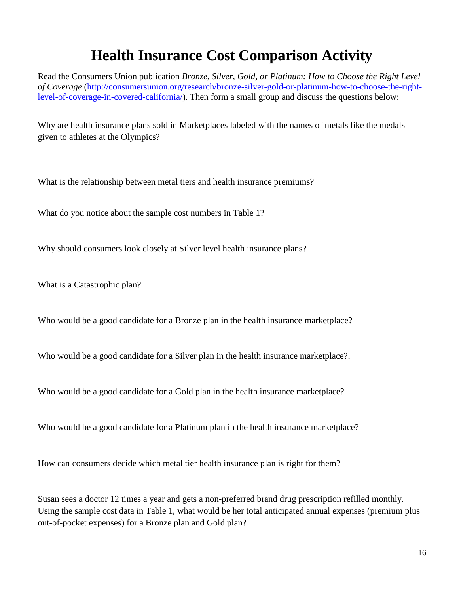# **Health Insurance Cost Comparison Activity**

Read the Consumers Union publication *Bronze, Silver, Gold, or Platinum: How to Choose the Right Level of Coverage* [\(http://consumersunion.org/research/bronze-silver-gold-or-platinum-how-to-choose-the-right](http://consumersunion.org/research/bronze-silver-gold-or-platinum-how-to-choose-the-right-level-of-coverage-in-covered-california/)[level-of-coverage-in-covered-california/\)](http://consumersunion.org/research/bronze-silver-gold-or-platinum-how-to-choose-the-right-level-of-coverage-in-covered-california/). Then form a small group and discuss the questions below:

Why are health insurance plans sold in Marketplaces labeled with the names of metals like the medals given to athletes at the Olympics?

What is the relationship between metal tiers and health insurance premiums?

What do you notice about the sample cost numbers in Table 1?

Why should consumers look closely at Silver level health insurance plans?

What is a Catastrophic plan?

Who would be a good candidate for a Bronze plan in the health insurance marketplace?

Who would be a good candidate for a Silver plan in the health insurance marketplace?

Who would be a good candidate for a Gold plan in the health insurance marketplace?

Who would be a good candidate for a Platinum plan in the health insurance marketplace?

How can consumers decide which metal tier health insurance plan is right for them?

Susan sees a doctor 12 times a year and gets a non-preferred brand drug prescription refilled monthly. Using the sample cost data in Table 1, what would be her total anticipated annual expenses (premium plus out-of-pocket expenses) for a Bronze plan and Gold plan?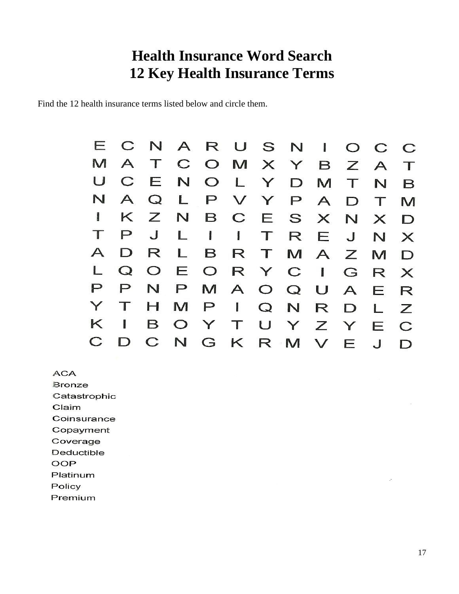# **Health Insurance Word Search 12 Key Health Insurance Terms**

Find the 12 health insurance terms listed below and circle them.

|                |                  |     | ECNARUSNIOCC          |  |               |  |     |             |
|----------------|------------------|-----|-----------------------|--|---------------|--|-----|-------------|
| M              | $\triangleright$ |     | T C O M X Y B Z A     |  |               |  |     | $\top$      |
| U              |                  |     | CENOLYDMT             |  |               |  | N   | B           |
|                |                  |     | NAQLPVYPA             |  |               |  | D T | M           |
| <b>CONVERT</b> |                  |     | K Z N B C E S X N X D |  |               |  |     |             |
|                | $\mathsf P$      | J   | LIITREJNX             |  |               |  |     |             |
| $\mathsf{A}$   | D                | R   |                       |  | B R T M A Z M |  |     | D           |
| L              |                  |     | Q O E O R Y C I G R X |  |               |  |     |             |
| P              | P                | N.  | PMAOQUAE              |  |               |  |     | $\mathsf R$ |
| Y              |                  | H I | MPIQNRDL              |  |               |  |     | Z           |
| K              | $\mathbf{I}$     |     | BOYTUYZY              |  |               |  | E   | $\mathbf C$ |
|                |                  |     | CDCNGKRMVEJ           |  |               |  |     | D           |

**ACA** 

Bronze Catastrophic Claim

Coinsurance

Copayment

Coverage Deductible

**OOP** 

Platinum

Policy

Premium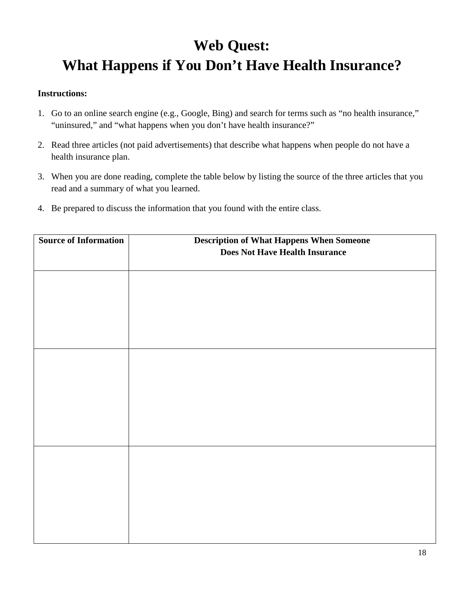# **Web Quest: What Happens if You Don't Have Health Insurance?**

#### **Instructions:**

- 1. Go to an online search engine (e.g., Google, Bing) and search for terms such as "no health insurance," "uninsured," and "what happens when you don't have health insurance?"
- 2. Read three articles (not paid advertisements) that describe what happens when people do not have a health insurance plan.
- 3. When you are done reading, complete the table below by listing the source of the three articles that you read and a summary of what you learned.
- 4. Be prepared to discuss the information that you found with the entire class.

| <b>Source of Information</b> | <b>Description of What Happens When Someone</b><br><b>Does Not Have Health Insurance</b> |
|------------------------------|------------------------------------------------------------------------------------------|
|                              |                                                                                          |
|                              |                                                                                          |
|                              |                                                                                          |
|                              |                                                                                          |
|                              |                                                                                          |
|                              |                                                                                          |
|                              |                                                                                          |
|                              |                                                                                          |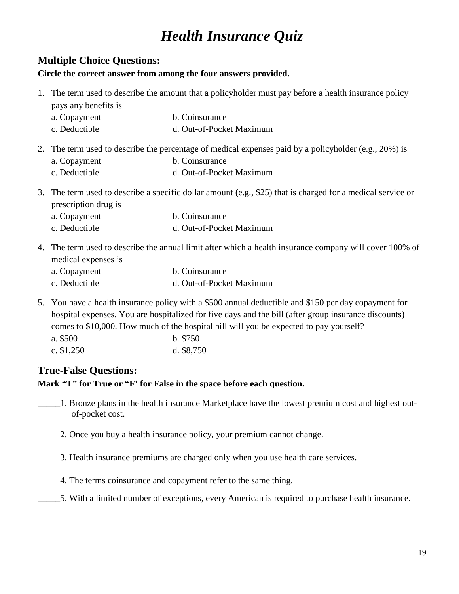# *Health Insurance Quiz*

### **Multiple Choice Questions:**

#### **Circle the correct answer from among the four answers provided.**

- 1. The term used to describe the amount that a policyholder must pay before a health insurance policy pays any benefits is
	- a. Copayment b. Coinsurance
	- c. Deductible d. Out-of-Pocket Maximum
- 2. The term used to describe the percentage of medical expenses paid by a policyholder (e.g., 20%) is
	- a. Copayment b. Coinsurance
	- c. Deductible d. Out-of-Pocket Maximum
- 3. The term used to describe a specific dollar amount (e.g., \$25) that is charged for a medical service or prescription drug is
	- a. Copayment b. Coinsurance
	- c. Deductible d. Out-of-Pocket Maximum
- 4. The term used to describe the annual limit after which a health insurance company will cover 100% of medical expenses is
	- a. Copayment b. Coinsurance c. Deductible d. Out-of-Pocket Maximum
- 5. You have a health insurance policy with a \$500 annual deductible and \$150 per day copayment for hospital expenses. You are hospitalized for five days and the bill (after group insurance discounts) comes to \$10,000. How much of the hospital bill will you be expected to pay yourself?
	- a. \$500 b. \$750 c. \$1,250 d. \$8,750

## **True-False Questions:**

**Mark "T" for True or "F' for False in the space before each question.**

- \_\_\_\_\_1. Bronze plans in the health insurance Marketplace have the lowest premium cost and highest outof-pocket cost.
- \_\_\_\_\_2. Once you buy a health insurance policy, your premium cannot change.
- \_\_\_\_\_3. Health insurance premiums are charged only when you use health care services.
- \_\_\_\_\_4. The terms coinsurance and copayment refer to the same thing.
- \_\_\_\_\_5. With a limited number of exceptions, every American is required to purchase health insurance.